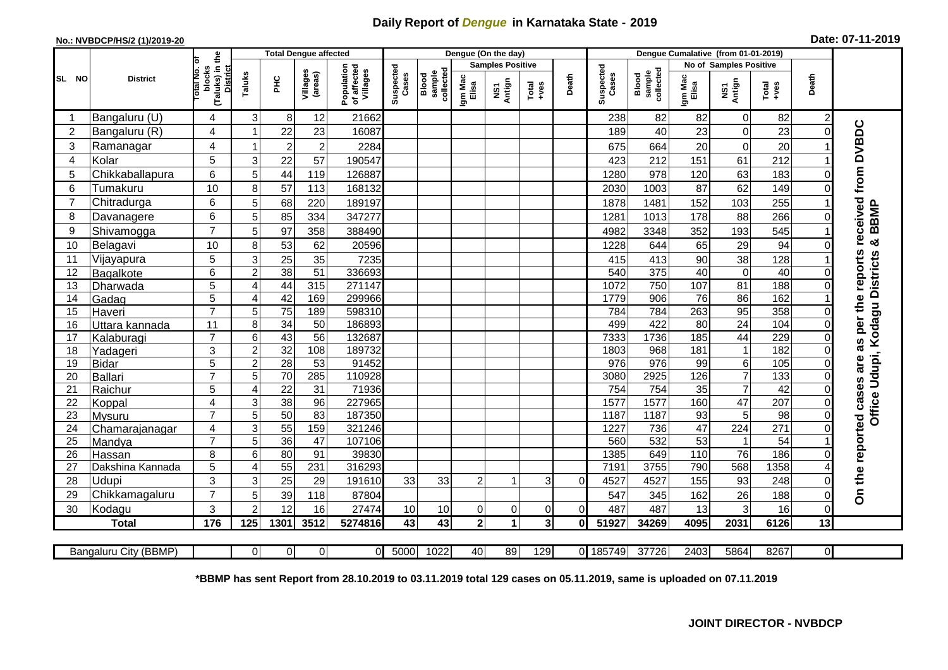## **Daily Report of** *Dengue* **in Karnataka State - 2019**

## **No.: NVBDCP/HS/2 (1)/2019-20 Date: 07-11-2019**

|                |                       | the                                                     |                | <b>Total Dengue affected</b> |                     |                                       |                    |                              |                  | Dengue (On the day)     |                                                              |              |                    |                              |                  | Dengue Cumalative (from 01-01-2019) |                 |                |                                                      |
|----------------|-----------------------|---------------------------------------------------------|----------------|------------------------------|---------------------|---------------------------------------|--------------------|------------------------------|------------------|-------------------------|--------------------------------------------------------------|--------------|--------------------|------------------------------|------------------|-------------------------------------|-----------------|----------------|------------------------------------------------------|
|                |                       |                                                         |                |                              |                     |                                       |                    |                              |                  | <b>Samples Positive</b> |                                                              |              |                    |                              |                  | No of Samples Positive              |                 |                |                                                      |
| SL NO          | <b>District</b>       | otal No. of<br>(Taluks) in<br>blocks<br><b>District</b> | Taluks         | ĔБ                           | Villages<br>(areas) | Population<br>of affected<br>Villages | Suspected<br>Cases | collected<br>sample<br>Blood | Igm Mac<br>Elisa | NS1<br>Antign           | $\begin{array}{c}\n\text{Total} \\ \text{Area}\n\end{array}$ | Death        | Suspected<br>Cases | collected<br>sample<br>Blood | Igm Mac<br>Elisa | NS1<br>Antign                       | Total<br>+ves   | Death          |                                                      |
|                | Bangaluru (U)         | 4                                                       | 3              | $8 \mid$                     | 12                  | 21662                                 |                    |                              |                  |                         |                                                              |              | 238                | 82                           | 82               | $\overline{0}$                      | 82              | $\overline{2}$ |                                                      |
| $\overline{2}$ | Bangaluru (R)         | 4                                                       |                | 22                           | 23                  | 16087                                 |                    |                              |                  |                         |                                                              |              | 189                | 40                           | 23               | $\mathbf 0$                         | 23              | $\Omega$       |                                                      |
| 3              | Ramanagar             | 4                                                       |                | $\overline{c}$               | $\overline{c}$      | 2284                                  |                    |                              |                  |                         |                                                              |              | 675                | 664                          | 20               | $\overline{0}$                      | 20              |                | received from DVBDC                                  |
| 4              | Kolar                 | 5                                                       | 3              | 22                           | 57                  | 190547                                |                    |                              |                  |                         |                                                              |              | 423                | 212                          | 151              | 61                                  | 212             |                |                                                      |
| 5              | Chikkaballapura       | 6                                                       | 5              | 44                           | 119                 | 126887                                |                    |                              |                  |                         |                                                              |              | 1280               | 978                          | 120              | 63                                  | 183             | $\Omega$       |                                                      |
| 6              | Tumakuru              | 10                                                      | 8              | 57                           | 113                 | 168132                                |                    |                              |                  |                         |                                                              |              | 2030               | 1003                         | 87               | 62                                  | 149             | ∩              |                                                      |
| $\overline{7}$ | Chitradurga           | 6                                                       | 5              | 68                           | 220                 | 189197                                |                    |                              |                  |                         |                                                              |              | 1878               | 1481                         | 152              | 103                                 | 255             |                |                                                      |
| 8              | Davanagere            | 6                                                       | 5              | 85                           | 334                 | 347277                                |                    |                              |                  |                         |                                                              |              | 1281               | 1013                         | 178              | 88                                  | 266             |                | BBMP                                                 |
| 9              | Shivamogga            | $\overline{7}$                                          | 5              | 97                           | 358                 | 388490                                |                    |                              |                  |                         |                                                              |              | 4982               | 3348                         | 352              | 193                                 | 545             |                |                                                      |
| 10             | Belagavi              | 10                                                      | 8              | 53                           | 62                  | 20596                                 |                    |                              |                  |                         |                                                              |              | 1228               | 644                          | 65               | 29                                  | 94              |                | න්                                                   |
| 11             | Vijayapura            | 5                                                       | 3              | 25                           | 35                  | 7235                                  |                    |                              |                  |                         |                                                              |              | 415                | 413                          | 90               | 38                                  | 128             |                | as per the reports<br>Office Udupi, Kodagu Districts |
| 12             | Bagalkote             | 6                                                       | 2              | $\overline{38}$              | 51                  | 336693                                |                    |                              |                  |                         |                                                              |              | 540                | $\overline{375}$             | 40               | $\mathbf 0$                         | 40              |                |                                                      |
| 13             | Dharwada              | 5                                                       | 4              | 44                           | 315                 | 271147                                |                    |                              |                  |                         |                                                              |              | 1072               | 750                          | 107              | 81                                  | 188             |                |                                                      |
| 14             | Gadag                 | $\overline{5}$                                          | 4              | 42                           | 169                 | 299966                                |                    |                              |                  |                         |                                                              |              | 1779               | 906                          | 76               | 86                                  | 162             |                |                                                      |
| 15             | Haveri                | $\overline{7}$                                          | 5              | $\overline{75}$              | 189                 | 598310                                |                    |                              |                  |                         |                                                              |              | 784                | 784                          | 263              | 95                                  | 358             | $\Omega$       |                                                      |
| 16             | Uttara kannada        | 11                                                      | 8              | 34                           | 50                  | 186893                                |                    |                              |                  |                         |                                                              |              | 499                | 422                          | $\overline{80}$  | $\overline{24}$                     | 104             | 0              |                                                      |
| 17             | Kalaburagi            | $\overline{7}$                                          | 6              | 43                           | 56                  | 132687                                |                    |                              |                  |                         |                                                              |              | 7333               | 1736                         | 185              | 44                                  | 229             | $\Omega$       |                                                      |
| 18             | Yadageri              | 3                                                       | $\overline{2}$ | 32                           | 108                 | 189732                                |                    |                              |                  |                         |                                                              |              | 1803               | 968                          | 181              | $\mathbf{1}$                        | 182             |                |                                                      |
| 19             | <b>Bidar</b>          | 5                                                       | $\overline{2}$ | $\overline{28}$              | $\overline{53}$     | 91452                                 |                    |                              |                  |                         |                                                              |              | 976                | 976                          | 99               | $\overline{6}$                      | 105             |                |                                                      |
| 20             | <b>Ballari</b>        | $\overline{7}$                                          | 5              | $\overline{70}$              | 285                 | 110928                                |                    |                              |                  |                         |                                                              |              | 3080               | 2925                         | 126              | $\overline{7}$                      | 133             |                |                                                      |
| 21             | Raichur               | 5                                                       | 4              | 22                           | 31                  | 71936                                 |                    |                              |                  |                         |                                                              |              | 754                | 754                          | $\overline{35}$  | $\overline{7}$                      | $\overline{42}$ | 0              |                                                      |
| 22             | Koppal                | 4                                                       | 3              | 38                           | 96                  | 227965                                |                    |                              |                  |                         |                                                              |              | 1577               | 1577                         | 160              | $\overline{47}$                     | 207             | $\Omega$       |                                                      |
| 23             | <b>Mysuru</b>         | $\overline{7}$                                          | 5              | 50                           | $\overline{83}$     | 187350                                |                    |                              |                  |                         |                                                              |              | 1187               | 1187                         | 93               | 5                                   | $\overline{98}$ | $\Omega$       |                                                      |
| 24             | Chamarajanagar        | 4                                                       | 3              | 55                           | 159                 | 321246                                |                    |                              |                  |                         |                                                              |              | 1227               | 736                          | 47               | 224                                 | 271             | $\Omega$       |                                                      |
| 25             | Mandya                | $\overline{7}$                                          | 5              | 36                           | $\overline{47}$     | 107106                                |                    |                              |                  |                         |                                                              |              | 560                | 532                          | 53               | $\mathbf{1}$                        | 54              |                |                                                      |
| 26             | Hassan                | 8                                                       | 6              | 80                           | 91                  | 39830                                 |                    |                              |                  |                         |                                                              |              | 1385               | 649                          | 110              | $\overline{76}$                     | 186             | 0              |                                                      |
| 27             | Dakshina Kannada      | 5                                                       | 4              | $\overline{55}$              | 231                 | 316293                                |                    |                              |                  |                         |                                                              |              | 7191               | 3755                         | 790              | 568                                 | 1358            |                |                                                      |
| 28             | Udupi                 | 3                                                       | 3              | 25                           | 29                  | 191610                                | 33                 | 33                           | 2                |                         | 3                                                            | $\Omega$     | 4527               | 4527                         | 155              | 93                                  | 248             |                | On the reported cases are                            |
| 29             | Chikkamagaluru        | $\overline{7}$                                          | 5              | 39                           | 118                 | 87804                                 |                    |                              |                  |                         |                                                              |              | 547                | 345                          | 162              | 26                                  | 188             | $\Omega$       |                                                      |
| 30             | Kodagu                | 3                                                       | $\overline{2}$ | 12                           | 16                  | 27474                                 | 10                 | 10                           | 0                | $\overline{0}$          | 0                                                            | $\Omega$     | 487                | 487                          | 13               | 3                                   | 16              | $\overline{0}$ |                                                      |
|                | <b>Total</b>          | 176                                                     | 125            | 1301                         | 3512                | 5274816                               | 43                 | 43                           | 2 <sup>1</sup>   | $\blacktriangleleft$    | 3                                                            | $\mathbf{0}$ | 51927              | 34269                        | 4095             | 2031                                | 6126            | 13             |                                                      |
|                | Bangaluru City (BBMP) |                                                         | ΟI             | 0                            | $\Omega$            | $\mathbf{0}$                          | 5000               | 1022                         | 40               | 89                      | 129                                                          |              | 0 185749           | 37726                        | 2403             | 5864                                | 8267            | $\overline{0}$ |                                                      |

**\*BBMP has sent Report from 28.10.2019 to 03.11.2019 total 129 cases on 05.11.2019, same is uploaded on 07.11.2019**